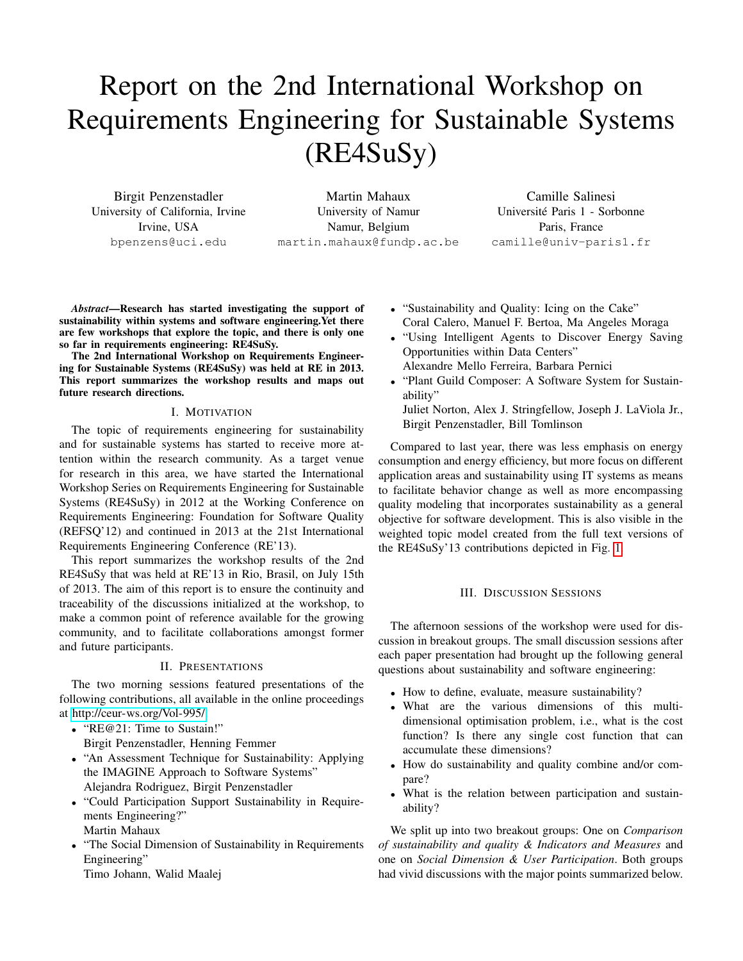# Report on the 2nd International Workshop on Requirements Engineering for Sustainable Systems (RE4SuSy)

Birgit Penzenstadler University of California, Irvine Irvine, USA bpenzens@uci.edu

Martin Mahaux University of Namur Namur, Belgium martin.mahaux@fundp.ac.be

Camille Salinesi Universite Paris 1 - Sorbonne ´ Paris, France camille@univ-paris1.fr

*Abstract*—Research has started investigating the support of sustainability within systems and software engineering.Yet there are few workshops that explore the topic, and there is only one so far in requirements engineering: RE4SuSy.

The 2nd International Workshop on Requirements Engineering for Sustainable Systems (RE4SuSy) was held at RE in 2013. This report summarizes the workshop results and maps out future research directions.

#### I. MOTIVATION

The topic of requirements engineering for sustainability and for sustainable systems has started to receive more attention within the research community. As a target venue for research in this area, we have started the International Workshop Series on Requirements Engineering for Sustainable Systems (RE4SuSy) in 2012 at the Working Conference on Requirements Engineering: Foundation for Software Quality (REFSQ'12) and continued in 2013 at the 21st International Requirements Engineering Conference (RE'13).

This report summarizes the workshop results of the 2nd RE4SuSy that was held at RE'13 in Rio, Brasil, on July 15th of 2013. The aim of this report is to ensure the continuity and traceability of the discussions initialized at the workshop, to make a common point of reference available for the growing community, and to facilitate collaborations amongst former and future participants.

#### II. PRESENTATIONS

The two morning sessions featured presentations of the following contributions, all available in the online proceedings at [http://ceur-ws.org/Vol-995/:](http://ceur-ws.org/Vol-995/)

- "RE@21: Time to Sustain!" Birgit Penzenstadler, Henning Femmer
- "An Assessment Technique for Sustainability: Applying the IMAGINE Approach to Software Systems" Alejandra Rodriguez, Birgit Penzenstadler
- "Could Participation Support Sustainability in Requirements Engineering?" Martin Mahaux
- "The Social Dimension of Sustainability in Requirements" Engineering"

Timo Johann, Walid Maalej

- "Sustainability and Quality: Icing on the Cake" Coral Calero, Manuel F. Bertoa, Ma Angeles Moraga
- "Using Intelligent Agents to Discover Energy Saving Opportunities within Data Centers" Alexandre Mello Ferreira, Barbara Pernici
- "Plant Guild Composer: A Software System for Sustainability"

Juliet Norton, Alex J. Stringfellow, Joseph J. LaViola Jr., Birgit Penzenstadler, Bill Tomlinson

Compared to last year, there was less emphasis on energy consumption and energy efficiency, but more focus on different application areas and sustainability using IT systems as means to facilitate behavior change as well as more encompassing quality modeling that incorporates sustainability as a general objective for software development. This is also visible in the weighted topic model created from the full text versions of the RE4SuSy'13 contributions depicted in Fig. [1.](#page-1-0)

## III. DISCUSSION SESSIONS

The afternoon sessions of the workshop were used for discussion in breakout groups. The small discussion sessions after each paper presentation had brought up the following general questions about sustainability and software engineering:

- How to define, evaluate, measure sustainability?
- What are the various dimensions of this multidimensional optimisation problem, i.e., what is the cost function? Is there any single cost function that can accumulate these dimensions?
- How do sustainability and quality combine and/or compare?
- What is the relation between participation and sustainability?

We split up into two breakout groups: One on *Comparison of sustainability and quality & Indicators and Measures* and one on *Social Dimension & User Participation*. Both groups had vivid discussions with the major points summarized below.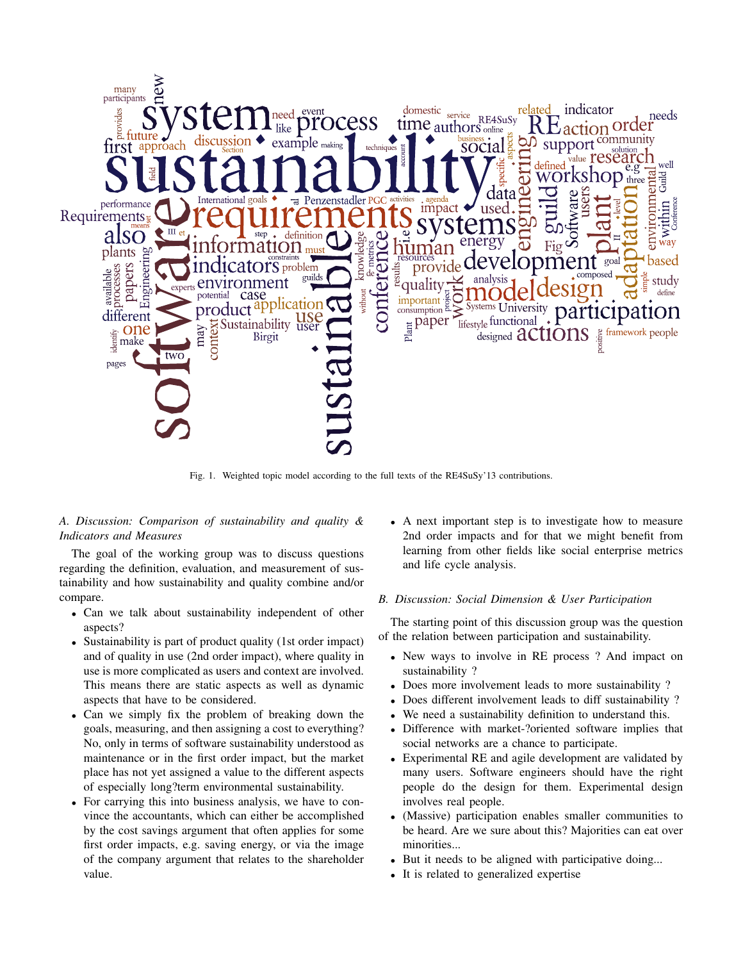

Fig. 1. Weighted topic model according to the full texts of the RE4SuSy'13 contributions.

## <span id="page-1-0"></span>*A. Discussion: Comparison of sustainability and quality & Indicators and Measures*

The goal of the working group was to discuss questions regarding the definition, evaluation, and measurement of sustainability and how sustainability and quality combine and/or compare.

- Can we talk about sustainability independent of other aspects?
- Sustainability is part of product quality (1st order impact) and of quality in use (2nd order impact), where quality in use is more complicated as users and context are involved. This means there are static aspects as well as dynamic aspects that have to be considered.
- Can we simply fix the problem of breaking down the goals, measuring, and then assigning a cost to everything? No, only in terms of software sustainability understood as maintenance or in the first order impact, but the market place has not yet assigned a value to the different aspects of especially long?term environmental sustainability.
- For carrying this into business analysis, we have to convince the accountants, which can either be accomplished by the cost savings argument that often applies for some first order impacts, e.g. saving energy, or via the image of the company argument that relates to the shareholder value.

• A next important step is to investigate how to measure 2nd order impacts and for that we might benefit from learning from other fields like social enterprise metrics and life cycle analysis.

## *B. Discussion: Social Dimension & User Participation*

The starting point of this discussion group was the question of the relation between participation and sustainability.

- New ways to involve in RE process ? And impact on sustainability ?
- Does more involvement leads to more sustainability ?
- Does different involvement leads to diff sustainability ?
- We need a sustainability definition to understand this.
- Difference with market-?oriented software implies that social networks are a chance to participate.
- Experimental RE and agile development are validated by many users. Software engineers should have the right people do the design for them. Experimental design involves real people.
- (Massive) participation enables smaller communities to be heard. Are we sure about this? Majorities can eat over minorities...
- But it needs to be aligned with participative doing...
- It is related to generalized expertise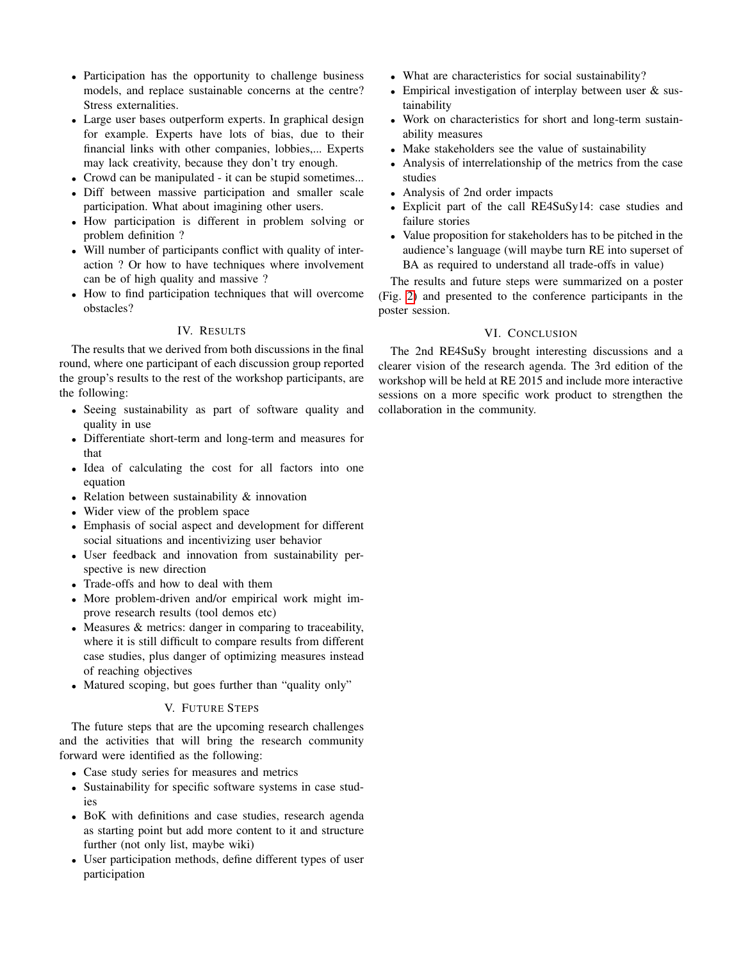- Participation has the opportunity to challenge business models, and replace sustainable concerns at the centre? Stress externalities.
- Large user bases outperform experts. In graphical design for example. Experts have lots of bias, due to their financial links with other companies, lobbies,... Experts may lack creativity, because they don't try enough.
- Crowd can be manipulated it can be stupid sometimes...
- Diff between massive participation and smaller scale participation. What about imagining other users.
- How participation is different in problem solving or problem definition ?
- Will number of participants conflict with quality of interaction ? Or how to have techniques where involvement can be of high quality and massive ?
- How to find participation techniques that will overcome obstacles?

## IV. RESULTS

The results that we derived from both discussions in the final round, where one participant of each discussion group reported the group's results to the rest of the workshop participants, are the following:

- Seeing sustainability as part of software quality and quality in use
- Differentiate short-term and long-term and measures for that
- Idea of calculating the cost for all factors into one equation
- Relation between sustainability & innovation
- Wider view of the problem space
- Emphasis of social aspect and development for different social situations and incentivizing user behavior
- User feedback and innovation from sustainability perspective is new direction
- Trade-offs and how to deal with them
- More problem-driven and/or empirical work might improve research results (tool demos etc)
- Measures & metrics: danger in comparing to traceability, where it is still difficult to compare results from different case studies, plus danger of optimizing measures instead of reaching objectives
- Matured scoping, but goes further than "quality only"

## V. FUTURE STEPS

The future steps that are the upcoming research challenges and the activities that will bring the research community forward were identified as the following:

- Case study series for measures and metrics
- Sustainability for specific software systems in case studies
- BoK with definitions and case studies, research agenda as starting point but add more content to it and structure further (not only list, maybe wiki)
- User participation methods, define different types of user participation
- What are characteristics for social sustainability?
- Empirical investigation of interplay between user & sustainability
- Work on characteristics for short and long-term sustainability measures
- Make stakeholders see the value of sustainability
- Analysis of interrelationship of the metrics from the case studies
- Analysis of 2nd order impacts
- Explicit part of the call RE4SuSy14: case studies and failure stories
- Value proposition for stakeholders has to be pitched in the audience's language (will maybe turn RE into superset of BA as required to understand all trade-offs in value)

The results and future steps were summarized on a poster (Fig. [2\)](#page-3-0) and presented to the conference participants in the poster session.

## VI. CONCLUSION

The 2nd RE4SuSy brought interesting discussions and a clearer vision of the research agenda. The 3rd edition of the workshop will be held at RE 2015 and include more interactive sessions on a more specific work product to strengthen the collaboration in the community.